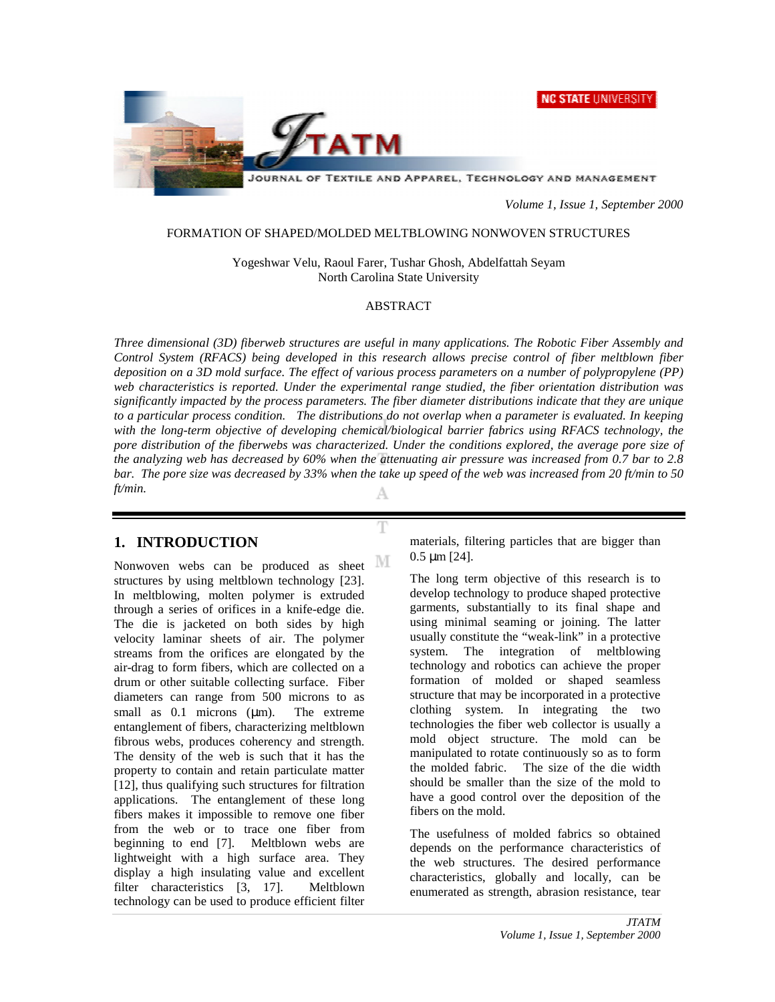**NC STATE UNIVERSITY** 



JOURNAL OF TEXTILE AND APPAREL, TECHNOLOGY AND MANAGEMENT

*Volume 1, Issue 1, September 2000*

#### FORMATION OF SHAPED/MOLDED MELTBLOWING NONWOVEN STRUCTURES

Yogeshwar Velu, Raoul Farer, Tushar Ghosh, Abdelfattah Seyam North Carolina State University

## ABSTRACT

*Three dimensional (3D) fiberweb structures are useful in many applications. The Robotic Fiber Assembly and Control System (RFACS) being developed in this research allows precise control of fiber meltblown fiber deposition on a 3D mold surface. The effect of various process parameters on a number of polypropylene (PP) web characteristics is reported. Under the experimental range studied, the fiber orientation distribution was significantly impacted by the process parameters. The fiber diameter distributions indicate that they are unique to a particular process condition. The distributions do not overlap when a parameter is evaluated. In keeping with the long-term objective of developing chemical/biological barrier fabrics using RFACS technology, the pore distribution of the fiberwebs was characterized. Under the conditions explored, the average pore size of the analyzing web has decreased by 60% when the attenuating air pressure was increased from 0.7 bar to 2.8 bar. The pore size was decreased by 33% when the take up speed of the web was increased from 20 ft/min to 50 ft/min.*

T

## **1. INTRODUCTION**

М Nonwoven webs can be produced as sheet structures by using meltblown technology [23]. In meltblowing, molten polymer is extruded through a series of orifices in a knife-edge die. The die is jacketed on both sides by high velocity laminar sheets of air. The polymer streams from the orifices are elongated by the air-drag to form fibers, which are collected on a drum or other suitable collecting surface. Fiber diameters can range from 500 microns to as small as 0.1 microns (um). The extreme entanglement of fibers, characterizing meltblown fibrous webs, produces coherency and strength. The density of the web is such that it has the property to contain and retain particulate matter [12], thus qualifying such structures for filtration applications. The entanglement of these long fibers makes it impossible to remove one fiber from the web or to trace one fiber from beginning to end [7]. Meltblown webs are lightweight with a high surface area. They display a high insulating value and excellent filter characteristics [3, 17]. Meltblown technology can be used to produce efficient filter

materials, filtering particles that are bigger than  $0.5 \mu m$  [24].

The long term objective of this research is to develop technology to produce shaped protective garments, substantially to its final shape and using minimal seaming or joining. The latter usually constitute the "weak-link" in a protective system. The integration of meltblowing technology and robotics can achieve the proper formation of molded or shaped seamless structure that may be incorporated in a protective clothing system. In integrating the two technologies the fiber web collector is usually a mold object structure. The mold can be manipulated to rotate continuously so as to form the molded fabric. The size of the die width should be smaller than the size of the mold to have a good control over the deposition of the fibers on the mold.

The usefulness of molded fabrics so obtained depends on the performance characteristics of the web structures. The desired performance characteristics, globally and locally, can be enumerated as strength, abrasion resistance, tear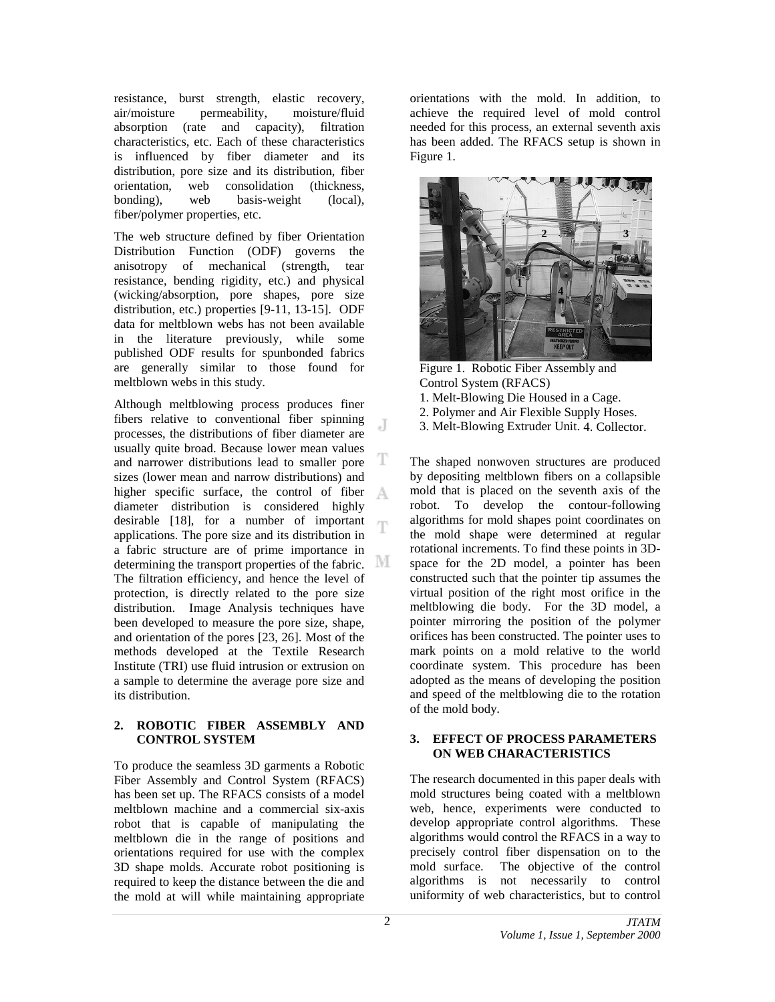resistance, burst strength, elastic recovery, air/moisture permeability, moisture/fluid absorption (rate and capacity), filtration characteristics, etc. Each of these characteristics is influenced by fiber diameter and its distribution, pore size and its distribution, fiber orientation, web consolidation (thickness, bonding), web basis-weight (local), fiber/polymer properties, etc.

The web structure defined by fiber Orientation Distribution Function (ODF) governs the anisotropy of mechanical (strength, tear resistance, bending rigidity, etc.) and physical (wicking/absorption, pore shapes, pore size distribution, etc.) properties [9-11, 13-15]. ODF data for meltblown webs has not been available in the literature previously, while some published ODF results for spunbonded fabrics are generally similar to those found for meltblown webs in this study.

Although meltblowing process produces finer fibers relative to conventional fiber spinning J processes, the distributions of fiber diameter are usually quite broad. Because lower mean values T and narrower distributions lead to smaller pore sizes (lower mean and narrow distributions) and higher specific surface, the control of fiber A diameter distribution is considered highly desirable [18], for a number of important Π. applications. The pore size and its distribution in a fabric structure are of prime importance in determining the transport properties of the fabric. The filtration efficiency, and hence the level of protection, is directly related to the pore size distribution. Image Analysis techniques have been developed to measure the pore size, shape, and orientation of the pores [23, 26]. Most of the methods developed at the Textile Research Institute (TRI) use fluid intrusion or extrusion on a sample to determine the average pore size and its distribution.

## **2. ROBOTIC FIBER ASSEMBLY AND CONTROL SYSTEM**

To produce the seamless 3D garments a Robotic Fiber Assembly and Control System (RFACS) has been set up. The RFACS consists of a model meltblown machine and a commercial six-axis robot that is capable of manipulating the meltblown die in the range of positions and orientations required for use with the complex 3D shape molds. Accurate robot positioning is required to keep the distance between the die and the mold at will while maintaining appropriate

orientations with the mold. In addition, to achieve the required level of mold control needed for this process, an external seventh axis has been added. The RFACS setup is shown in Figure 1.



Figure 1. Robotic Fiber Assembly and Control System (RFACS) 1. Melt-Blowing Die Housed in a Cage. 2. Polymer and Air Flexible Supply Hoses.

3. Melt-Blowing Extruder Unit. 4. Collector.

The shaped nonwoven structures are produced by depositing meltblown fibers on a collapsible mold that is placed on the seventh axis of the robot. To develop the contour-following algorithms for mold shapes point coordinates on the mold shape were determined at regular rotational increments. To find these points in 3Dspace for the 2D model, a pointer has been constructed such that the pointer tip assumes the virtual position of the right most orifice in the meltblowing die body. For the 3D model, a pointer mirroring the position of the polymer orifices has been constructed. The pointer uses to mark points on a mold relative to the world coordinate system. This procedure has been adopted as the means of developing the position and speed of the meltblowing die to the rotation of the mold body.

## **3. EFFECT OF PROCESS PARAMETERS ON WEB CHARACTERISTICS**

The research documented in this paper deals with mold structures being coated with a meltblown web, hence, experiments were conducted to develop appropriate control algorithms. These algorithms would control the RFACS in a way to precisely control fiber dispensation on to the mold surface. The objective of the control algorithms is not necessarily to control uniformity of web characteristics, but to control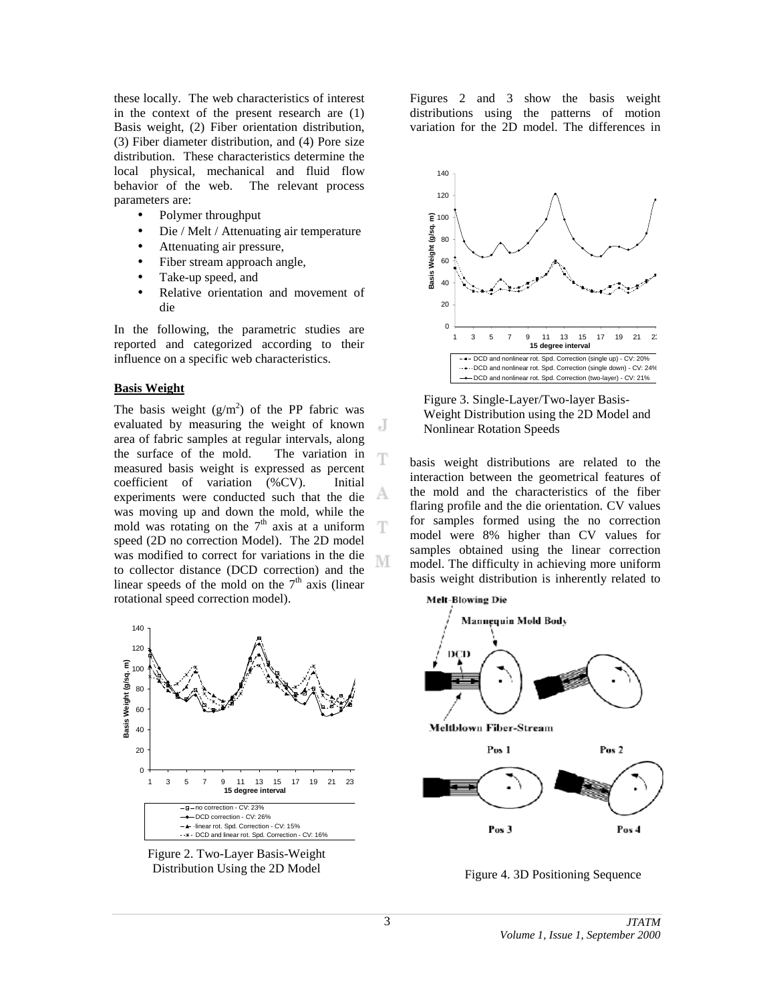these locally. The web characteristics of interest in the context of the present research are (1) Basis weight, (2) Fiber orientation distribution, (3) Fiber diameter distribution, and (4) Pore size distribution. These characteristics determine the local physical, mechanical and fluid flow behavior of the web. The relevant process parameters are:

- Polymer throughput
- Die / Melt / Attenuating air temperature
- Attenuating air pressure,
- Fiber stream approach angle,
- Take-up speed, and
- Relative orientation and movement of die

In the following, the parametric studies are reported and categorized according to their influence on a specific web characteristics.

#### **Basis Weight**

The basis weight  $(g/m^2)$  of the PP fabric was evaluated by measuring the weight of known J area of fabric samples at regular intervals, along the surface of the mold. The variation in Ŧ measured basis weight is expressed as percent coefficient of variation (%CV). Initial А experiments were conducted such that the die was moving up and down the mold, while the mold was rotating on the  $7<sup>th</sup>$  axis at a uniform 工 speed (2D no correction Model). The 2D model was modified to correct for variations in the die M to collector distance (DCD correction) and the linear speeds of the mold on the  $7<sup>th</sup>$  axis (linear rotational speed correction model).



Figure 2. Two-Layer Basis-Weight Distribution Using the 2D Model

Figures 2 and 3 show the basis weight distributions using the patterns of motion variation for the 2D model. The differences in



Figure 3. Single-Layer/Two-layer Basis-Weight Distribution using the 2D Model and Nonlinear Rotation Speeds

basis weight distributions are related to the interaction between the geometrical features of the mold and the characteristics of the fiber flaring profile and the die orientation. CV values for samples formed using the no correction model were 8% higher than CV values for samples obtained using the linear correction model. The difficulty in achieving more uniform basis weight distribution is inherently related to



Figure 4. 3D Positioning Sequence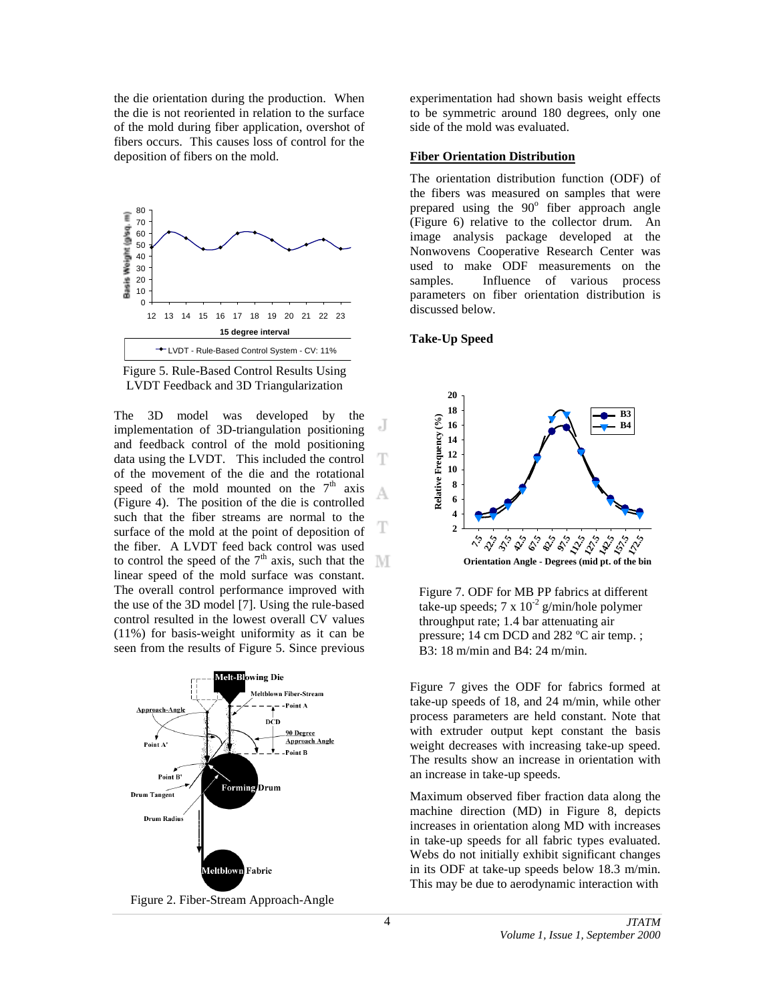the die orientation during the production. When the die is not reoriented in relation to the surface of the mold during fiber application, overshot of fibers occurs. This causes loss of control for the deposition of fibers on the mold.





The 3D model was developed by the implementation of 3D-triangulation positioning and feedback control of the mold positioning data using the LVDT. This included the control of the movement of the die and the rotational speed of the mold mounted on the  $7<sup>th</sup>$  axis (Figure 4). The position of the die is controlled such that the fiber streams are normal to the surface of the mold at the point of deposition of the fiber. A LVDT feed back control was used to control the speed of the  $7<sup>th</sup>$  axis, such that the M linear speed of the mold surface was constant. The overall control performance improved with the use of the 3D model [7]. Using the rule-based control resulted in the lowest overall CV values (11%) for basis-weight uniformity as it can be seen from the results of Figure 5. Since previous



Figure 2. Fiber-Stream Approach-Angle

experimentation had shown basis weight effects to be symmetric around 180 degrees, only one side of the mold was evaluated.

#### **Fiber Orientation Distribution**

The orientation distribution function (ODF) of the fibers was measured on samples that were prepared using the  $90^\circ$  fiber approach angle (Figure 6) relative to the collector drum. An image analysis package developed at the Nonwovens Cooperative Research Center was used to make ODF measurements on the samples. Influence of various process parameters on fiber orientation distribution is discussed below.

#### **Take-Up Speed**

J

A

T



Figure 7. ODF for MB PP fabrics at different take-up speeds; 7 x  $10^{-2}$  g/min/hole polymer throughput rate; 1.4 bar attenuating air pressure; 14 cm DCD and 282 ºC air temp. ; B3: 18 m/min and B4: 24 m/min.

Figure 7 gives the ODF for fabrics formed at take-up speeds of 18, and 24 m/min, while other process parameters are held constant. Note that with extruder output kept constant the basis weight decreases with increasing take-up speed. The results show an increase in orientation with an increase in take-up speeds.

Maximum observed fiber fraction data along the machine direction (MD) in Figure 8, depicts increases in orientation along MD with increases in take-up speeds for all fabric types evaluated. Webs do not initially exhibit significant changes in its ODF at take-up speeds below 18.3 m/min. This may be due to aerodynamic interaction with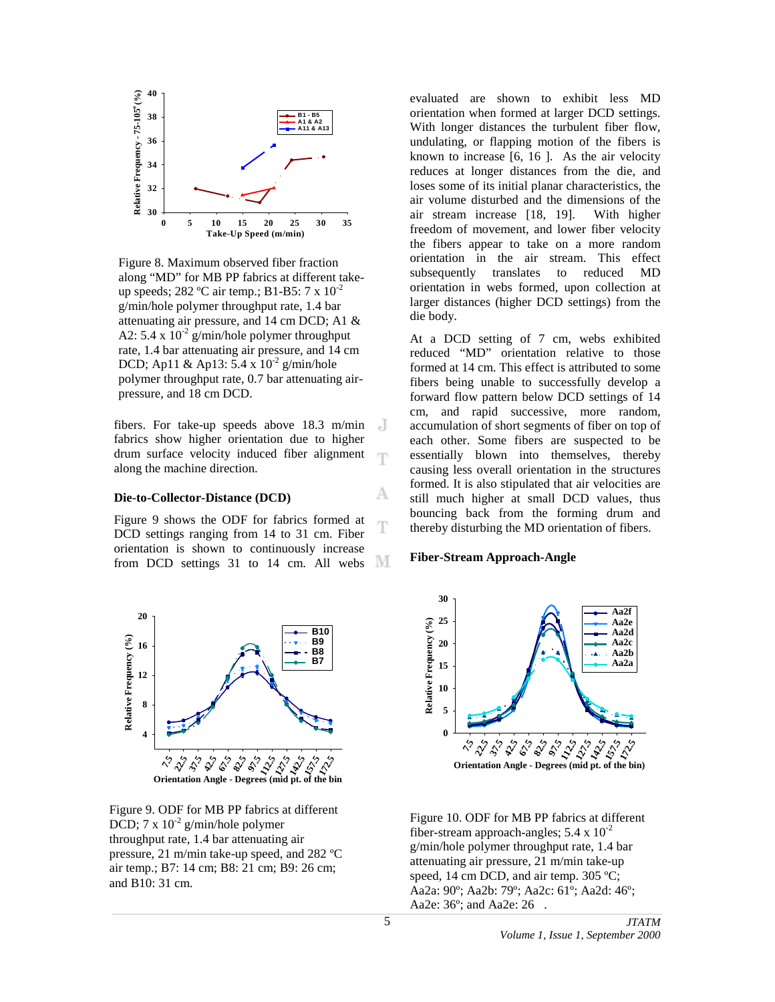

Figure 8. Maximum observed fiber fraction along "MD" for MB PP fabrics at different takeup speeds; 282 °C air temp.; B1-B5: 7 x 10<sup>-2</sup> g/min/hole polymer throughput rate, 1.4 bar attenuating air pressure, and 14 cm DCD; A1 & A2:  $5.4 \times 10^{-2}$  g/min/hole polymer throughput rate, 1.4 bar attenuating air pressure, and 14 cm DCD; Ap11 & Ap13:  $5.4 \times 10^{-2}$  g/min/hole polymer throughput rate, 0.7 bar attenuating airpressure, and 18 cm DCD.

fibers. For take-up speeds above 18.3 m/min fabrics show higher orientation due to higher drum surface velocity induced fiber alignment along the machine direction.

#### **Die-to-Collector-Distance (DCD)**

Figure 9 shows the ODF for fabrics formed at DCD settings ranging from 14 to 31 cm. Fiber orientation is shown to continuously increase from DCD settings 31 to 14 cm. All webs M



Figure 9. ODF for MB PP fabrics at different DCD;  $7 \times 10^{-2}$  g/min/hole polymer throughput rate, 1.4 bar attenuating air pressure, 21 m/min take-up speed, and 282 ºC air temp.; B7: 14 cm; B8: 21 cm; B9: 26 cm; and B10: 31 cm.

evaluated are shown to exhibit less MD orientation when formed at larger DCD settings. With longer distances the turbulent fiber flow, undulating, or flapping motion of the fibers is known to increase [6, 16 ]. As the air velocity reduces at longer distances from the die, and loses some of its initial planar characteristics, the air volume disturbed and the dimensions of the air stream increase [18, 19]. With higher freedom of movement, and lower fiber velocity the fibers appear to take on a more random orientation in the air stream. This effect subsequently translates to reduced MD orientation in webs formed, upon collection at larger distances (higher DCD settings) from the die body.

At a DCD setting of 7 cm, webs exhibited reduced "MD" orientation relative to those formed at 14 cm. This effect is attributed to some fibers being unable to successfully develop a forward flow pattern below DCD settings of 14 cm, and rapid successive, more random, accumulation of short segments of fiber on top of each other. Some fibers are suspected to be essentially blown into themselves, thereby causing less overall orientation in the structures formed. It is also stipulated that air velocities are still much higher at small DCD values, thus bouncing back from the forming drum and thereby disturbing the MD orientation of fibers.

#### **Fiber-Stream Approach-Angle**



Figure 10. ODF for MB PP fabrics at different fiber-stream approach-angles;  $5.4 \times 10^{-2}$ g/min/hole polymer throughput rate, 1.4 bar attenuating air pressure, 21 m/min take-up speed, 14 cm DCD, and air temp. 305 °C; Aa2a: 90º; Aa2b: 79º; Aa2c: 61º; Aa2d: 46º; Aa2e: 36°; and Aa2e: 26.

 $\overline{J}$ 

Ŧ

А

T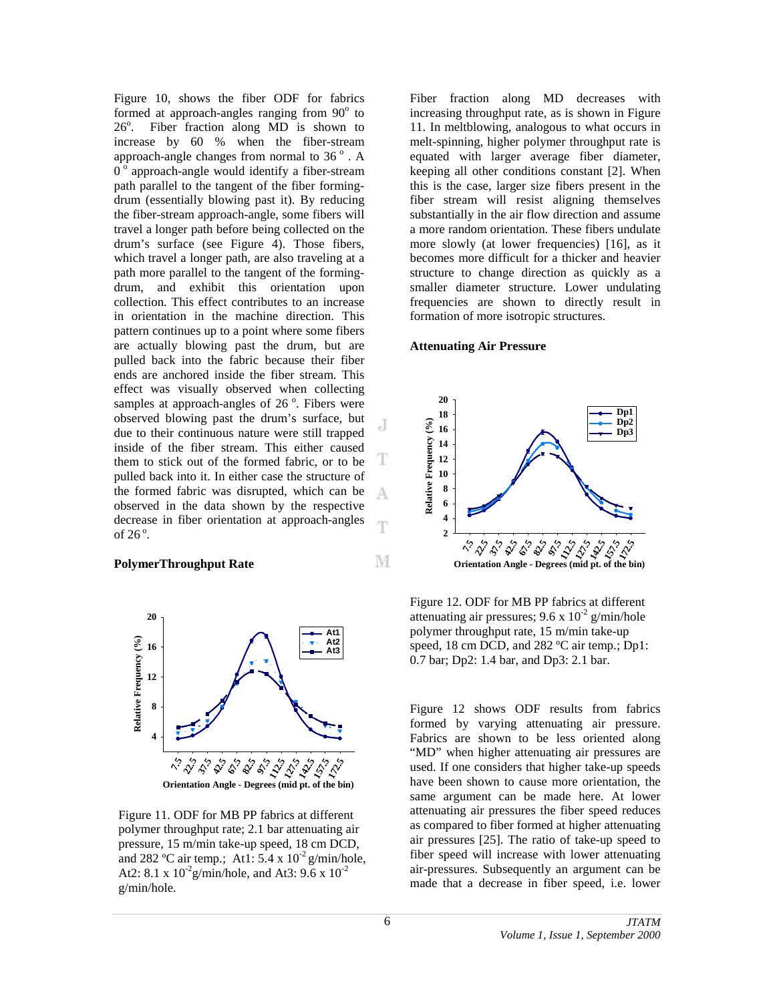Figure 10, shows the fiber ODF for fabrics formed at approach-angles ranging from  $90^\circ$  to 26°. Fiber fraction along MD is shown to increase by 60 % when the fiber-stream approach-angle changes from normal to  $36^\circ$ . A  $0^{\circ}$  approach-angle would identify a fiber-stream path parallel to the tangent of the fiber formingdrum (essentially blowing past it). By reducing the fiber-stream approach-angle, some fibers will travel a longer path before being collected on the drum's surface (see Figure 4). Those fibers, which travel a longer path, are also traveling at a path more parallel to the tangent of the formingdrum, and exhibit this orientation upon collection. This effect contributes to an increase in orientation in the machine direction. This pattern continues up to a point where some fibers are actually blowing past the drum, but are pulled back into the fabric because their fiber ends are anchored inside the fiber stream. This effect was visually observed when collecting samples at approach-angles of  $26^\circ$ . Fibers were observed blowing past the drum's surface, but due to their continuous nature were still trapped inside of the fiber stream. This either caused them to stick out of the formed fabric, or to be pulled back into it. In either case the structure of the formed fabric was disrupted, which can be observed in the data shown by the respective decrease in fiber orientation at approach-angles of 26<sup>°</sup>.

#### **PolymerThroughput Rate**



Figure 11. ODF for MB PP fabrics at different polymer throughput rate; 2.1 bar attenuating air pressure, 15 m/min take-up speed, 18 cm DCD, and 282 °C air temp.; At1: 5.4 x  $10^{-2}$  g/min/hole, At2: 8.1 x  $10^{-2}$ g/min/hole, and At3: 9.6 x  $10^{-2}$ g/min/hole.

Fiber fraction along MD decreases with increasing throughput rate, as is shown in Figure 11. In meltblowing, analogous to what occurs in melt-spinning, higher polymer throughput rate is equated with larger average fiber diameter, keeping all other conditions constant [2]. When this is the case, larger size fibers present in the fiber stream will resist aligning themselves substantially in the air flow direction and assume a more random orientation. These fibers undulate more slowly (at lower frequencies) [16], as it becomes more difficult for a thicker and heavier structure to change direction as quickly as a smaller diameter structure. Lower undulating frequencies are shown to directly result in formation of more isotropic structures.

#### **Attenuating Air Pressure**



Figure 12. ODF for MB PP fabrics at different attenuating air pressures;  $9.6 \times 10^{-2}$  g/min/hole polymer throughput rate, 15 m/min take-up speed, 18 cm DCD, and 282 °C air temp.; Dp1: 0.7 bar; Dp2: 1.4 bar, and Dp3: 2.1 bar.

Figure 12 shows ODF results from fabrics formed by varying attenuating air pressure. Fabrics are shown to be less oriented along "MD" when higher attenuating air pressures are used. If one considers that higher take-up speeds have been shown to cause more orientation, the same argument can be made here. At lower attenuating air pressures the fiber speed reduces as compared to fiber formed at higher attenuating air pressures [25]. The ratio of take-up speed to fiber speed will increase with lower attenuating air-pressures. Subsequently an argument can be made that a decrease in fiber speed, i.e. lower

А

Ŧ

М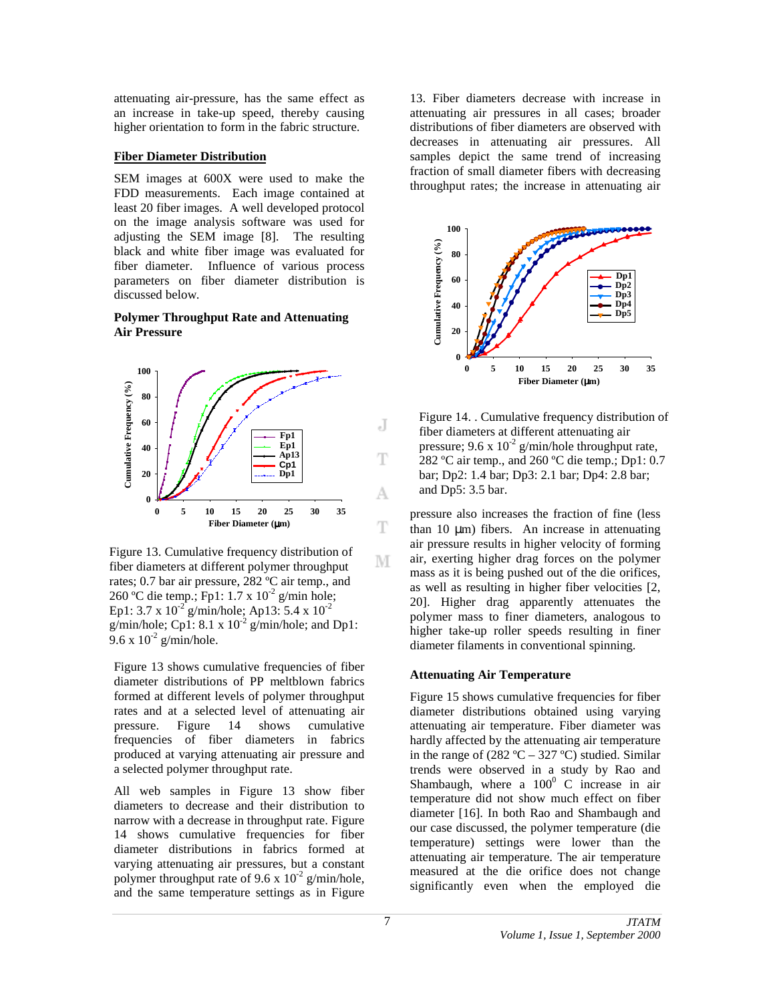attenuating air-pressure, has the same effect as an increase in take-up speed, thereby causing higher orientation to form in the fabric structure.

## **Fiber Diameter Distribution**

SEM images at 600X were used to make the FDD measurements. Each image contained at least 20 fiber images. A well developed protocol on the image analysis software was used for adjusting the SEM image [8]. The resulting black and white fiber image was evaluated for fiber diameter. Influence of various process parameters on fiber diameter distribution is discussed below.

## **Polymer Throughput Rate and Attenuating Air Pressure**



Figure 13. Cumulative frequency distribution of fiber diameters at different polymer throughput rates; 0.7 bar air pressure, 282 ºC air temp., and 260 °C die temp.; Fp1:  $1.7 \times 10^{-2}$  g/min hole; Ep1: 3.7 x  $10^{-2}$  g/min/hole; Ap13: 5.4 x  $10^{-2}$ g/min/hole; Cp1: 8.1 x  $10^{-2}$  g/min/hole; and Dp1: 9.6 x  $10^{-2}$  g/min/hole.

Figure 13 shows cumulative frequencies of fiber diameter distributions of PP meltblown fabrics formed at different levels of polymer throughput rates and at a selected level of attenuating air pressure. Figure 14 shows cumulative frequencies of fiber diameters in fabrics produced at varying attenuating air pressure and a selected polymer throughput rate.

All web samples in Figure 13 show fiber diameters to decrease and their distribution to narrow with a decrease in throughput rate. Figure 14 shows cumulative frequencies for fiber diameter distributions in fabrics formed at varying attenuating air pressures, but a constant polymer throughput rate of 9.6 x  $10^{-2}$  g/min/hole, and the same temperature settings as in Figure

13. Fiber diameters decrease with increase in attenuating air pressures in all cases; broader distributions of fiber diameters are observed with decreases in attenuating air pressures. All samples depict the same trend of increasing fraction of small diameter fibers with decreasing throughput rates; the increase in attenuating air



Figure 14. . Cumulative frequency distribution of fiber diameters at different attenuating air pressure;  $9.6 \times 10^{-2}$  g/min/hole throughput rate, 282 ºC air temp., and 260 ºC die temp.; Dp1: 0.7 bar; Dp2: 1.4 bar; Dp3: 2.1 bar; Dp4: 2.8 bar; and Dp5: 3.5 bar.

pressure also increases the fraction of fine (less than  $10 \mu m$ ) fibers. An increase in attenuating air pressure results in higher velocity of forming air, exerting higher drag forces on the polymer mass as it is being pushed out of the die orifices, as well as resulting in higher fiber velocities [2, 20]. Higher drag apparently attenuates the polymer mass to finer diameters, analogous to higher take-up roller speeds resulting in finer diameter filaments in conventional spinning.

# **Attenuating Air Temperature**

Figure 15 shows cumulative frequencies for fiber diameter distributions obtained using varying attenuating air temperature. Fiber diameter was hardly affected by the attenuating air temperature in the range of  $(282 \text{ °C} - 327 \text{ °C})$  studied. Similar trends were observed in a study by Rao and Shambaugh, where a  $100^{\circ}$  C increase in air temperature did not show much effect on fiber diameter [16]. In both Rao and Shambaugh and our case discussed, the polymer temperature (die temperature) settings were lower than the attenuating air temperature. The air temperature measured at the die orifice does not change significantly even when the employed die

М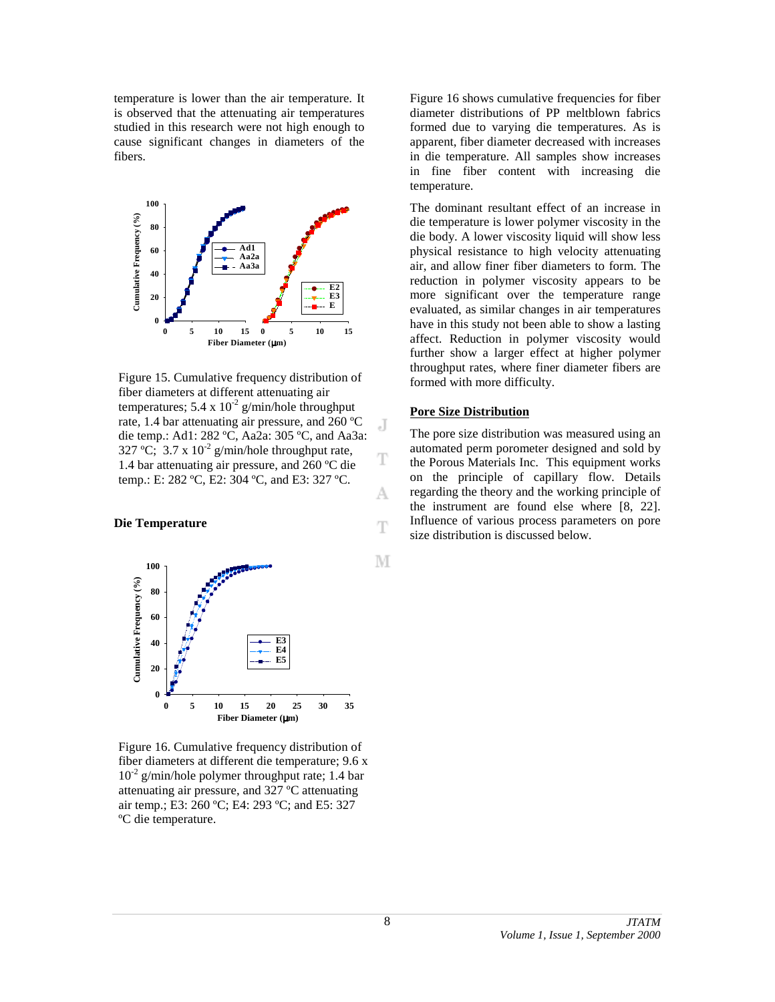temperature is lower than the air temperature. It is observed that the attenuating air temperatures studied in this research were not high enough to cause significant changes in diameters of the fibers.



Figure 15. Cumulative frequency distribution of fiber diameters at different attenuating air temperatures;  $5.4 \times 10^{-2}$  g/min/hole throughput rate, 1.4 bar attenuating air pressure, and 260 ºC die temp.: Ad1: 282 ºC, Aa2a: 305 ºC, and Aa3a: 327 °C; 3.7 x  $10^{-2}$  g/min/hole throughput rate, 1.4 bar attenuating air pressure, and 260 ºC die temp.: E: 282 ºC, E2: 304 ºC, and E3: 327 ºC.

#### **Die Temperature**



Figure 16. Cumulative frequency distribution of fiber diameters at different die temperature; 9.6 x  $10^{-2}$  g/min/hole polymer throughput rate; 1.4 bar attenuating air pressure, and 327 ºC attenuating air temp.; E3: 260 ºC; E4: 293 ºC; and E5: 327 ºC die temperature.

Figure 16 shows cumulative frequencies for fiber diameter distributions of PP meltblown fabrics formed due to varying die temperatures. As is apparent, fiber diameter decreased with increases in die temperature. All samples show increases in fine fiber content with increasing die temperature.

The dominant resultant effect of an increase in die temperature is lower polymer viscosity in the die body. A lower viscosity liquid will show less physical resistance to high velocity attenuating air, and allow finer fiber diameters to form. The reduction in polymer viscosity appears to be more significant over the temperature range evaluated, as similar changes in air temperatures have in this study not been able to show a lasting affect. Reduction in polymer viscosity would further show a larger effect at higher polymer throughput rates, where finer diameter fibers are formed with more difficulty.

### **Pore Size Distribution**

J

Ŧ

А

Ŧ

М

The pore size distribution was measured using an automated perm porometer designed and sold by the Porous Materials Inc. This equipment works on the principle of capillary flow. Details regarding the theory and the working principle of the instrument are found else where [8, 22]. Influence of various process parameters on pore size distribution is discussed below.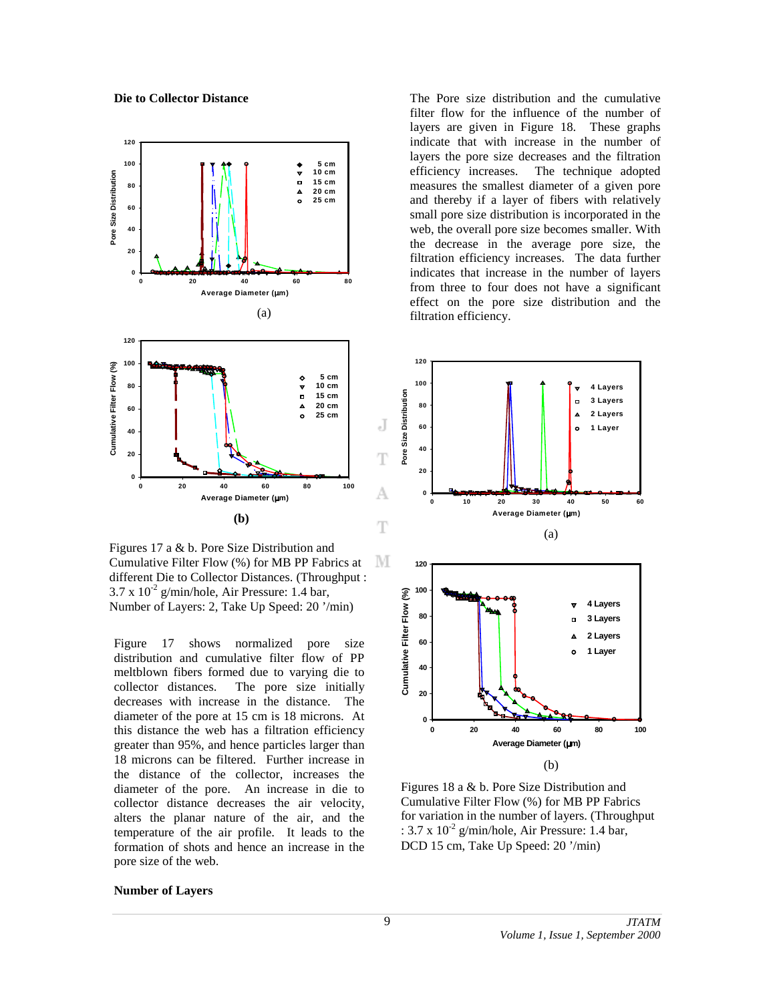**Die to Collector Distance**



Figures 17 a & b. Pore Size Distribution and Cumulative Filter Flow (%) for MB PP Fabrics at different Die to Collector Distances. (Throughput :  $3.7 \times 10^{-2}$  g/min/hole, Air Pressure: 1.4 bar, Number of Layers: 2, Take Up Speed: 20 '/min)

Figure 17 shows normalized pore size distribution and cumulative filter flow of PP meltblown fibers formed due to varying die to collector distances. The pore size initially decreases with increase in the distance. The diameter of the pore at 15 cm is 18 microns. At this distance the web has a filtration efficiency greater than 95%, and hence particles larger than 18 microns can be filtered. Further increase in the distance of the collector, increases the diameter of the pore. An increase in die to collector distance decreases the air velocity, alters the planar nature of the air, and the temperature of the air profile. It leads to the formation of shots and hence an increase in the pore size of the web.

The Pore size distribution and the cumulative filter flow for the influence of the number of layers are given in Figure 18. These graphs indicate that with increase in the number of layers the pore size decreases and the filtration efficiency increases. The technique adopted measures the smallest diameter of a given pore and thereby if a layer of fibers with relatively small pore size distribution is incorporated in the web, the overall pore size becomes smaller. With the decrease in the average pore size, the filtration efficiency increases. The data further indicates that increase in the number of layers from three to four does not have a significant effect on the pore size distribution and the filtration efficiency.



Figures 18 a & b. Pore Size Distribution and Cumulative Filter Flow (%) for MB PP Fabrics for variation in the number of layers. (Throughput :  $3.7 \times 10^{-2}$  g/min/hole, Air Pressure: 1.4 bar, DCD 15 cm, Take Up Speed: 20 '/min)

#### **Number of Layers**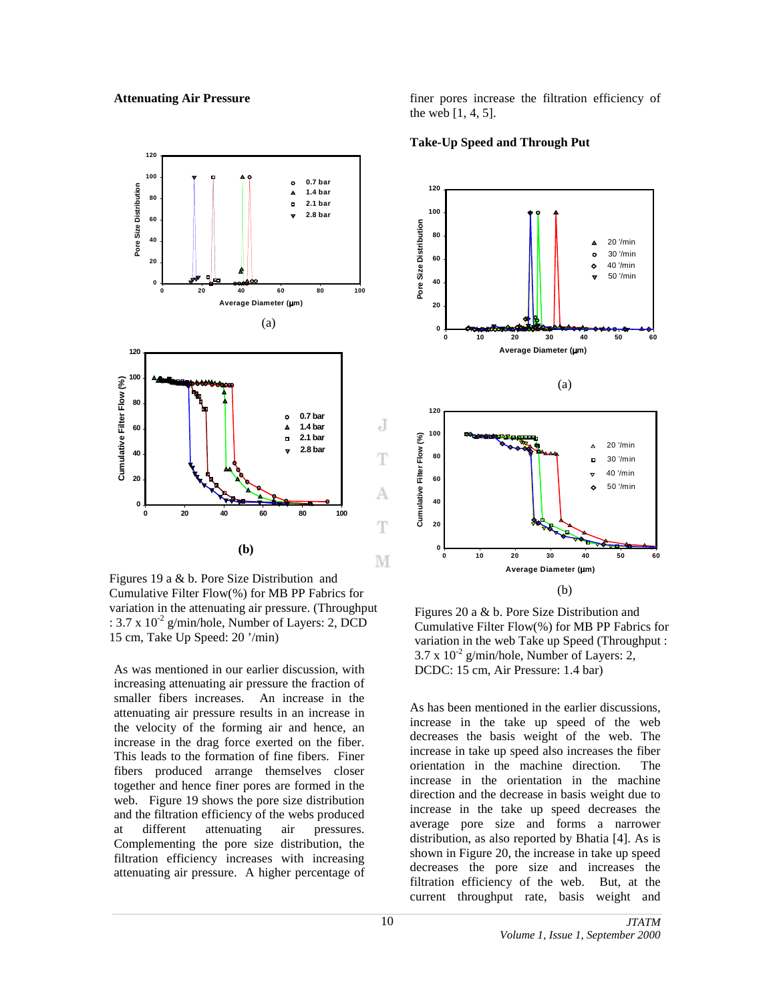## **Attenuating Air Pressure**



Figures 19 a & b. Pore Size Distribution and Cumulative Filter Flow(%) for MB PP Fabrics for variation in the attenuating air pressure. (Throughput :  $3.7 \times 10^{-2}$  g/min/hole, Number of Layers: 2, DCD 15 cm, Take Up Speed: 20 '/min)

As was mentioned in our earlier discussion, with increasing attenuating air pressure the fraction of smaller fibers increases. An increase in the attenuating air pressure results in an increase in the velocity of the forming air and hence, an increase in the drag force exerted on the fiber. This leads to the formation of fine fibers. Finer fibers produced arrange themselves closer together and hence finer pores are formed in the web. Figure 19 shows the pore size distribution and the filtration efficiency of the webs produced at different attenuating air pressures. Complementing the pore size distribution, the filtration efficiency increases with increasing attenuating air pressure. A higher percentage of

finer pores increase the filtration efficiency of the web [1, 4, 5].

### **Take-Up Speed and Through Put**



Figures 20 a & b. Pore Size Distribution and Cumulative Filter Flow(%) for MB PP Fabrics for variation in the web Take up Speed (Throughput :  $3.7 \times 10^{-2}$  g/min/hole, Number of Layers: 2, DCDC: 15 cm, Air Pressure: 1.4 bar)

As has been mentioned in the earlier discussions, increase in the take up speed of the web decreases the basis weight of the web. The increase in take up speed also increases the fiber orientation in the machine direction. The increase in the orientation in the machine direction and the decrease in basis weight due to increase in the take up speed decreases the average pore size and forms a narrower distribution, as also reported by Bhatia [4]. As is shown in Figure 20, the increase in take up speed decreases the pore size and increases the filtration efficiency of the web. But, at the current throughput rate, basis weight and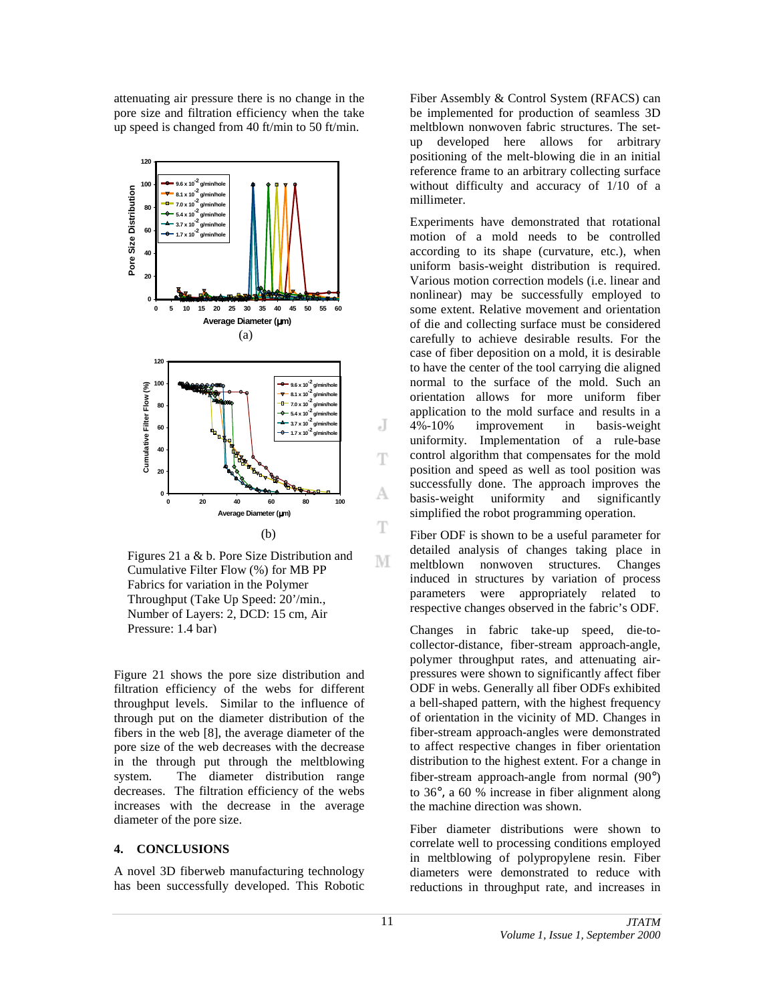attenuating air pressure there is no change in the pore size and filtration efficiency when the take up speed is changed from 40 ft/min to 50 ft/min.



Figures 21 a & b. Pore Size Distribution and Cumulative Filter Flow (%) for MB PP Fabrics for variation in the Polymer Throughput (Take Up Speed: 20'/min., Number of Layers: 2, DCD: 15 cm, Air Pressure: 1.4 bar)

Figure 21 shows the pore size distribution and filtration efficiency of the webs for different throughput levels. Similar to the influence of through put on the diameter distribution of the fibers in the web [8], the average diameter of the pore size of the web decreases with the decrease in the through put through the meltblowing system. The diameter distribution range decreases. The filtration efficiency of the webs increases with the decrease in the average diameter of the pore size.

## **4. CONCLUSIONS**

A novel 3D fiberweb manufacturing technology has been successfully developed. This Robotic Fiber Assembly & Control System (RFACS) can be implemented for production of seamless 3D meltblown nonwoven fabric structures. The setup developed here allows for arbitrary positioning of the melt-blowing die in an initial reference frame to an arbitrary collecting surface without difficulty and accuracy of 1/10 of a millimeter.

Experiments have demonstrated that rotational motion of a mold needs to be controlled according to its shape (curvature, etc.), when uniform basis-weight distribution is required. Various motion correction models (i.e. linear and nonlinear) may be successfully employed to some extent. Relative movement and orientation of die and collecting surface must be considered carefully to achieve desirable results. For the case of fiber deposition on a mold, it is desirable to have the center of the tool carrying die aligned normal to the surface of the mold. Such an orientation allows for more uniform fiber application to the mold surface and results in a 4%-10% improvement in basis-weight uniformity. Implementation of a rule-base control algorithm that compensates for the mold position and speed as well as tool position was successfully done. The approach improves the basis-weight uniformity and significantly simplified the robot programming operation.

Fiber ODF is shown to be a useful parameter for detailed analysis of changes taking place in meltblown nonwoven structures. Changes induced in structures by variation of process parameters were appropriately related to respective changes observed in the fabric's ODF.

Changes in fabric take-up speed, die-tocollector-distance, fiber-stream approach-angle, polymer throughput rates, and attenuating airpressures were shown to significantly affect fiber ODF in webs. Generally all fiber ODFs exhibited a bell-shaped pattern, with the highest frequency of orientation in the vicinity of MD. Changes in fiber-stream approach-angles were demonstrated to affect respective changes in fiber orientation distribution to the highest extent. For a change in fiber-stream approach-angle from normal (90°) to 36°, a 60 % increase in fiber alignment along the machine direction was shown.

Fiber diameter distributions were shown to correlate well to processing conditions employed in meltblowing of polypropylene resin. Fiber diameters were demonstrated to reduce with reductions in throughput rate, and increases in

J

Ŧ

А

T

М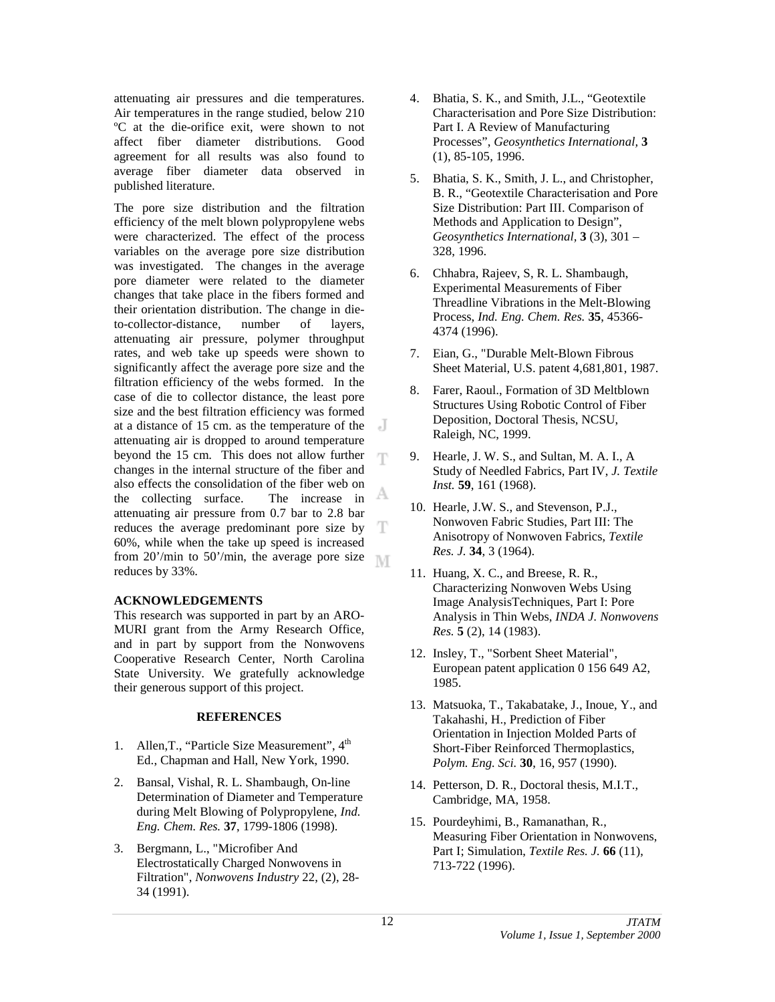attenuating air pressures and die temperatures. Air temperatures in the range studied, below 210 ºC at the die-orifice exit, were shown to not affect fiber diameter distributions. Good agreement for all results was also found to average fiber diameter data observed in published literature.

The pore size distribution and the filtration efficiency of the melt blown polypropylene webs were characterized. The effect of the process variables on the average pore size distribution was investigated. The changes in the average pore diameter were related to the diameter changes that take place in the fibers formed and their orientation distribution. The change in dieto-collector-distance, number of layers, attenuating air pressure, polymer throughput rates, and web take up speeds were shown to significantly affect the average pore size and the filtration efficiency of the webs formed. In the case of die to collector distance, the least pore size and the best filtration efficiency was formed at a distance of 15 cm. as the temperature of the J attenuating air is dropped to around temperature beyond the 15 cm. This does not allow further Ŧ changes in the internal structure of the fiber and also effects the consolidation of the fiber web on А the collecting surface. The increase in attenuating air pressure from 0.7 bar to 2.8 bar reduces the average predominant pore size by T 60%, while when the take up speed is increased from 20'/min to 50'/min, the average pore size M reduces by 33%.

# **ACKNOWLEDGEMENTS**

This research was supported in part by an ARO-MURI grant from the Army Research Office, and in part by support from the Nonwovens Cooperative Research Center, North Carolina State University. We gratefully acknowledge their generous support of this project.

# **REFERENCES**

- 1. Allen, T., "Particle Size Measurement", 4<sup>th</sup> Ed., Chapman and Hall, New York, 1990.
- 2. Bansal, Vishal, R. L. Shambaugh, On-line Determination of Diameter and Temperature during Melt Blowing of Polypropylene, *Ind. Eng. Chem. Res.* **37**, 1799-1806 (1998).
- 3. Bergmann, L., "Microfiber And Electrostatically Charged Nonwovens in Filtration", *Nonwovens Industry* 22, (2), 28- 34 (1991).
- 4. Bhatia, S. K., and Smith, J.L., "Geotextile Characterisation and Pore Size Distribution: Part I. A Review of Manufacturing Processes", *Geosynthetics International,* **3** (1), 85-105, 1996.
- 5. Bhatia, S. K., Smith, J. L., and Christopher, B. R., "Geotextile Characterisation and Pore Size Distribution: Part III. Comparison of Methods and Application to Design", *Geosynthetics International,* **3** (3), 301 – 328, 1996.
- 6. Chhabra, Rajeev, S, R. L. Shambaugh, Experimental Measurements of Fiber Threadline Vibrations in the Melt-Blowing Process, *Ind. Eng. Chem. Res.* **35**, 45366- 4374 (1996).
- 7. Eian, G., "Durable Melt-Blown Fibrous Sheet Material, U.S. patent 4,681,801, 1987.
- 8. Farer, Raoul., Formation of 3D Meltblown Structures Using Robotic Control of Fiber Deposition, Doctoral Thesis, NCSU, Raleigh, NC, 1999.
- 9. Hearle, J. W. S., and Sultan, M. A. I., A Study of Needled Fabrics, Part IV, *J. Textile Inst.* **59**, 161 (1968).
- 10. Hearle, J.W. S., and Stevenson, P.J., Nonwoven Fabric Studies, Part III: The Anisotropy of Nonwoven Fabrics, *Textile Res. J.* **34**, 3 (1964).
- 11. Huang, X. C., and Breese, R. R., Characterizing Nonwoven Webs Using Image AnalysisTechniques, Part I: Pore Analysis in Thin Webs, *INDA J. Nonwovens Res.* **5** (2), 14 (1983).
- 12. Insley, T., "Sorbent Sheet Material", European patent application 0 156 649 A2, 1985.
- 13. Matsuoka, T., Takabatake, J., Inoue, Y., and Takahashi, H., Prediction of Fiber Orientation in Injection Molded Parts of Short-Fiber Reinforced Thermoplastics, *Polym. Eng. Sci.* **30**, 16, 957 (1990).
- 14. Petterson, D. R., Doctoral thesis, M.I.T., Cambridge, MA, 1958.
- 15. Pourdeyhimi, B., Ramanathan, R., Measuring Fiber Orientation in Nonwovens, Part I; Simulation, *Textile Res. J.* **66** (11), 713-722 (1996).